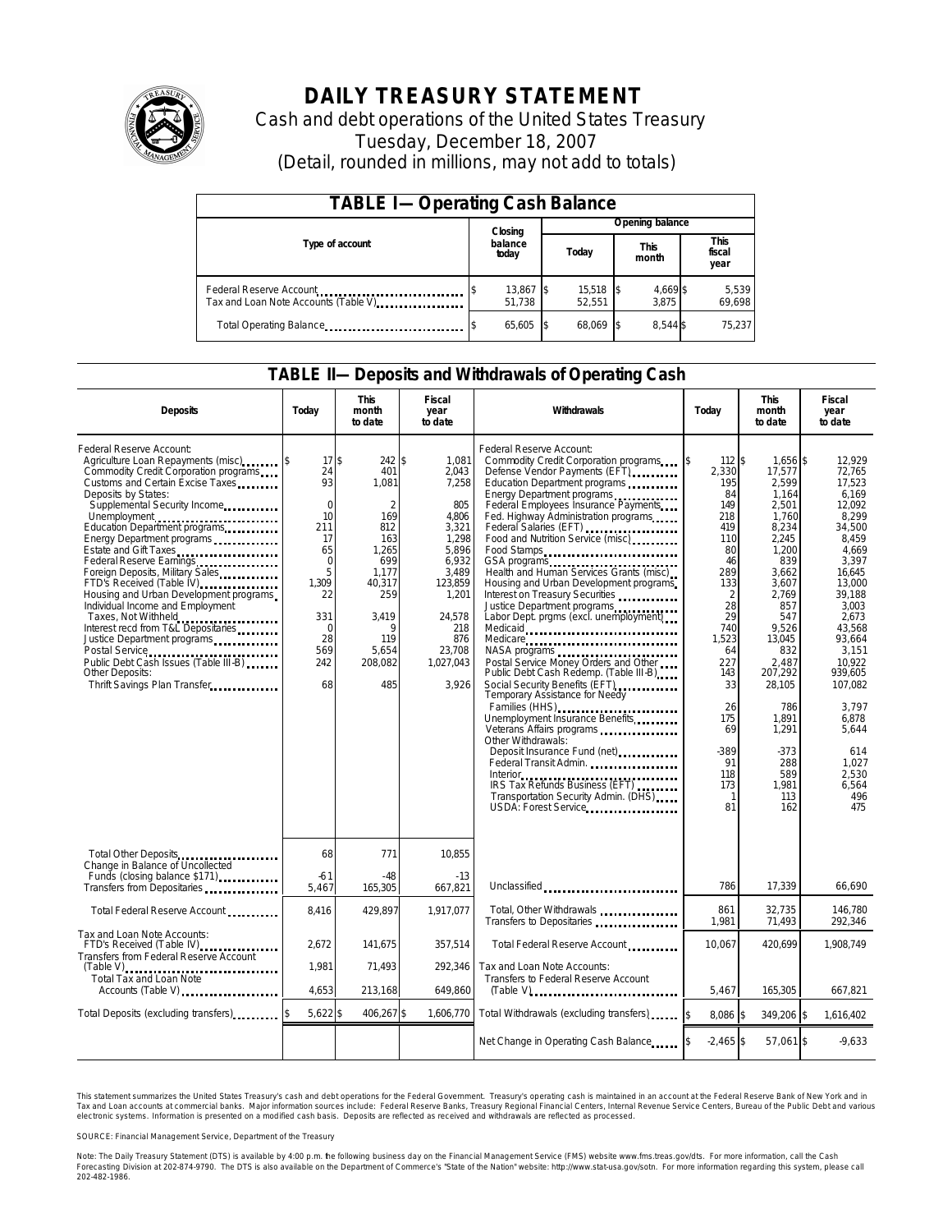

# **DAILY TREASURY STATEMENT**

Cash and debt operations of the United States Treasury Tuesday, December 18, 2007 (Detail, rounded in millions, may not add to totals)

| <b>TABLE I-Operating Cash Balance</b>                           |         |                     |  |                       |  |                      |  |                               |  |  |  |
|-----------------------------------------------------------------|---------|---------------------|--|-----------------------|--|----------------------|--|-------------------------------|--|--|--|
|                                                                 | Closing |                     |  | Opening balance       |  |                      |  |                               |  |  |  |
| Type of account                                                 |         | balance<br>today    |  | Today                 |  | <b>This</b><br>month |  | <b>This</b><br>fiscal<br>year |  |  |  |
| Federal Reserve Account<br>Tax and Loan Note Accounts (Table V) |         | 13,867 \$<br>51.738 |  | $15,518$ \$<br>52.551 |  | 4,669 \$<br>3.875    |  | 5,539<br>69,698               |  |  |  |
| Total Operating Balance                                         |         | 65,605              |  | 68.069 \$             |  | 8.544 \$             |  | 75,237                        |  |  |  |

### **TABLE II—Deposits and Withdrawals of Operating Cash**

| <b>Deposits</b>                                                                                                                                                                                                                                                                                                                                                                                                                                                                                                                                                                                                                                                                    | Today                                                                                                                                    | <b>This</b><br>month<br>to date                                                                                                                         | Fiscal<br>year<br>to date                                                                                                                                        | <b>Withdrawals</b>                                                                                                                                                                                                                                                                                                                                                                                                                                                                                                                                                                                                                                                                                                                                                                                                                                                                                                                                                                                                                                     | Today                                                                                                                                                                                                            | <b>This</b><br>month<br>to date                                                                                                                                                                                                                                   | <b>Fiscal</b><br>year<br>to date                                                                                                                                                                                                                                                    |
|------------------------------------------------------------------------------------------------------------------------------------------------------------------------------------------------------------------------------------------------------------------------------------------------------------------------------------------------------------------------------------------------------------------------------------------------------------------------------------------------------------------------------------------------------------------------------------------------------------------------------------------------------------------------------------|------------------------------------------------------------------------------------------------------------------------------------------|---------------------------------------------------------------------------------------------------------------------------------------------------------|------------------------------------------------------------------------------------------------------------------------------------------------------------------|--------------------------------------------------------------------------------------------------------------------------------------------------------------------------------------------------------------------------------------------------------------------------------------------------------------------------------------------------------------------------------------------------------------------------------------------------------------------------------------------------------------------------------------------------------------------------------------------------------------------------------------------------------------------------------------------------------------------------------------------------------------------------------------------------------------------------------------------------------------------------------------------------------------------------------------------------------------------------------------------------------------------------------------------------------|------------------------------------------------------------------------------------------------------------------------------------------------------------------------------------------------------------------|-------------------------------------------------------------------------------------------------------------------------------------------------------------------------------------------------------------------------------------------------------------------|-------------------------------------------------------------------------------------------------------------------------------------------------------------------------------------------------------------------------------------------------------------------------------------|
| Federal Reserve Account:<br>Agriculture Loan Repayments (misc)<br>Commodity Credit Corporation programs<br>Customs and Certain Excise Taxes<br>Deposits by States:<br>Supplemental Security Income<br>Unemployment<br>Education Department programs<br>Energy Department programs<br>Estate and Gift Taxes<br><br>Federal Reserve Earnings<br>Foreign Deposits, Military Sales<br>FTD's Received (Table IV)<br>Housing and Urban Development programs<br>Individual Income and Employment<br>Taxes, Not Withheld<br>Interest recd from T&L Depositaries<br>Justice Department programs<br>Public Debt Cash Issues (Table III-B)<br>Other Deposits:<br>Thrift Savings Plan Transfer | 17\$<br>24<br>93<br>$\mathbf 0$<br>10<br>211<br>17<br>65<br>$\mathbf 0$<br>5<br>1.309<br>22<br>331<br>$\Omega$<br>28<br>569<br>242<br>68 | 242 \$<br>401<br>1,081<br>$\overline{2}$<br>169<br>812<br>163<br>1.265<br>699<br>1.177<br>40,317<br>259<br>3.419<br>9<br>119<br>5,654<br>208,082<br>485 | 1.081<br>2,043<br>7,258<br>805<br>4,806<br>3,321<br>1,298<br>5,896<br>6,932<br>3.489<br>123,859<br>1,201<br>24.578<br>218<br>876<br>23,708<br>1,027,043<br>3,926 | Federal Reserve Account:<br>Commodity Credit Corporation programs \ \ \ \ \<br>Defense Vendor Payments (EFT)<br>Education Department programs<br>Energy Department programs<br>Federal Employees Insurance Payments<br>Fed. Highway Administration programs<br>Federal Salaries (EFT)<br>Food and Nutrition Service (misc)<br>Food Stamps<br>GSA programs<br>Health and Human Services Grants (misc)<br>Housing and Urban Development programs<br>Interest on Treasury Securities<br>Justice Department programs<br>Labor Dept. prgms (excl. unemployment)<br>Medicaid<br>Medicare<br>NASA programs<br>Postal Service Money Orders and Other<br>Public Debt Cash Redemp. (Table III-B)<br>Social Security Benefits (EFT)<br>Temporary Assistance for Needy<br>Families (HHS)<br>Unemployment Insurance Benefits<br>Veterans Affairs programs<br>Other Withdrawals:<br>Deposit Insurance Fund (net)<br>Federal Transit Admin.<br>Interior<br>Interior<br>IRS Tax Refunds Business (EFT)<br>Transportation Security Admin. (DHS)<br>USDA: Forest Service | 112S<br>2,330<br>195<br>84<br>149<br>218<br>419<br>110<br>80<br>46<br>289<br>133<br>2<br>28<br>29<br>740<br>1,523<br>64<br>227<br>143<br>33<br>26<br>175<br>69<br>-389<br>91<br>118<br>173<br>$\mathbf{1}$<br>81 | 1,656 \$<br>17,577<br>2,599<br>1.164<br>2,501<br>1,760<br>8,234<br>2,245<br>1.200<br>839<br>3.662<br>3,607<br>2.769<br>857<br>547<br>9.526<br>13,045<br>832<br>2,487<br>207,292<br>28,105<br>786<br>1,891<br>1.291<br>$-373$<br>288<br>589<br>1,981<br>113<br>162 | 12,929<br>72.765<br>17.523<br>6.169<br>12,092<br>8,299<br>34,500<br>8,459<br>4.669<br>3,397<br>16.645<br>13,000<br>39.188<br>3.003<br>2.673<br>43.568<br>93,664<br>3.151<br>10.922<br>939.605<br>107,082<br>3.797<br>6,878<br>5.644<br>614<br>1,027<br>2.530<br>6,564<br>496<br>475 |
| Total Other Deposits<br>Change in Balance of Uncollected<br>Funds (closing balance \$171)                                                                                                                                                                                                                                                                                                                                                                                                                                                                                                                                                                                          | 68<br>$-61$                                                                                                                              | 771<br>-48                                                                                                                                              | 10,855<br>$-13$                                                                                                                                                  |                                                                                                                                                                                                                                                                                                                                                                                                                                                                                                                                                                                                                                                                                                                                                                                                                                                                                                                                                                                                                                                        | 786                                                                                                                                                                                                              | 17.339                                                                                                                                                                                                                                                            | 66.690                                                                                                                                                                                                                                                                              |
| Transfers from Depositaries<br>Total Federal Reserve Account                                                                                                                                                                                                                                                                                                                                                                                                                                                                                                                                                                                                                       | 5,467<br>8.416                                                                                                                           | 165,305<br>429.897                                                                                                                                      | 667,821<br>1.917.077                                                                                                                                             | Unclassified<br>Total, Other Withdrawals                                                                                                                                                                                                                                                                                                                                                                                                                                                                                                                                                                                                                                                                                                                                                                                                                                                                                                                                                                                                               | 861                                                                                                                                                                                                              | 32,735                                                                                                                                                                                                                                                            | 146,780                                                                                                                                                                                                                                                                             |
| Tax and Loan Note Accounts:                                                                                                                                                                                                                                                                                                                                                                                                                                                                                                                                                                                                                                                        |                                                                                                                                          |                                                                                                                                                         |                                                                                                                                                                  | Transfers to Depositaries                                                                                                                                                                                                                                                                                                                                                                                                                                                                                                                                                                                                                                                                                                                                                                                                                                                                                                                                                                                                                              | 1,981                                                                                                                                                                                                            | 71,493                                                                                                                                                                                                                                                            | 292,346                                                                                                                                                                                                                                                                             |
| FTD's Received (Table IV)<br>Transfers from Federal Reserve Account                                                                                                                                                                                                                                                                                                                                                                                                                                                                                                                                                                                                                | 2.672                                                                                                                                    | 141.675                                                                                                                                                 | 357.514                                                                                                                                                          | Total Federal Reserve Account                                                                                                                                                                                                                                                                                                                                                                                                                                                                                                                                                                                                                                                                                                                                                                                                                                                                                                                                                                                                                          | 10.067                                                                                                                                                                                                           | 420.699                                                                                                                                                                                                                                                           | 1.908.749                                                                                                                                                                                                                                                                           |
| $(Table V)$<br><br>Total Tax and Loan Note<br>Accounts (Table V)                                                                                                                                                                                                                                                                                                                                                                                                                                                                                                                                                                                                                   | 1,981<br>4,653                                                                                                                           | 71,493<br>213,168                                                                                                                                       | 292,346<br>649,860                                                                                                                                               | Tax and Loan Note Accounts:<br>Transfers to Federal Reserve Account<br>$(Table V)$                                                                                                                                                                                                                                                                                                                                                                                                                                                                                                                                                                                                                                                                                                                                                                                                                                                                                                                                                                     | 5,467                                                                                                                                                                                                            | 165,305                                                                                                                                                                                                                                                           | 667,821                                                                                                                                                                                                                                                                             |
| Total Deposits (excluding transfers)                                                                                                                                                                                                                                                                                                                                                                                                                                                                                                                                                                                                                                               | 5,622 \$                                                                                                                                 | 406,267\$                                                                                                                                               | 1,606,770                                                                                                                                                        | Total Withdrawals (excluding transfers)                                                                                                                                                                                                                                                                                                                                                                                                                                                                                                                                                                                                                                                                                                                                                                                                                                                                                                                                                                                                                | 8,086 \$                                                                                                                                                                                                         | 349,206 \$                                                                                                                                                                                                                                                        | 1,616,402                                                                                                                                                                                                                                                                           |
|                                                                                                                                                                                                                                                                                                                                                                                                                                                                                                                                                                                                                                                                                    |                                                                                                                                          |                                                                                                                                                         |                                                                                                                                                                  | Net Change in Operating Cash Balance                                                                                                                                                                                                                                                                                                                                                                                                                                                                                                                                                                                                                                                                                                                                                                                                                                                                                                                                                                                                                   | $-2,465$ \$                                                                                                                                                                                                      | 57,061 \$                                                                                                                                                                                                                                                         | $-9,633$                                                                                                                                                                                                                                                                            |

This statement summarizes the United States Treasury's cash and debt operations for the Federal Government. Treasury's operating cash is maintained in an account at the Federal Reserve Bank of New York and in Tax and Loan accounts at commercial banks. Major information sources include: Federal Reserve Banks, Treasury Regional Financial Centers, Internal Revenue Service Centers, Bureau of the Public Debt and various<br>electronic s

SOURCE: Financial Management Service, Department of the Treasury

Note: The Daily Treasury Statement (DTS) is available by 4:00 p.m. he following business day on the Financial Management Service (FMS) website www.fms.treas.gov/dts.<br>Forecasting Division at 202-874-9790. The DTS is also av 'S) is available by 4:00 p.m. he following business day on the Financial Management Service (FMS) website www.fms.treas.gov/dts. For more information, call the Cash<br>The DTS is also available on the Department of Commerce's